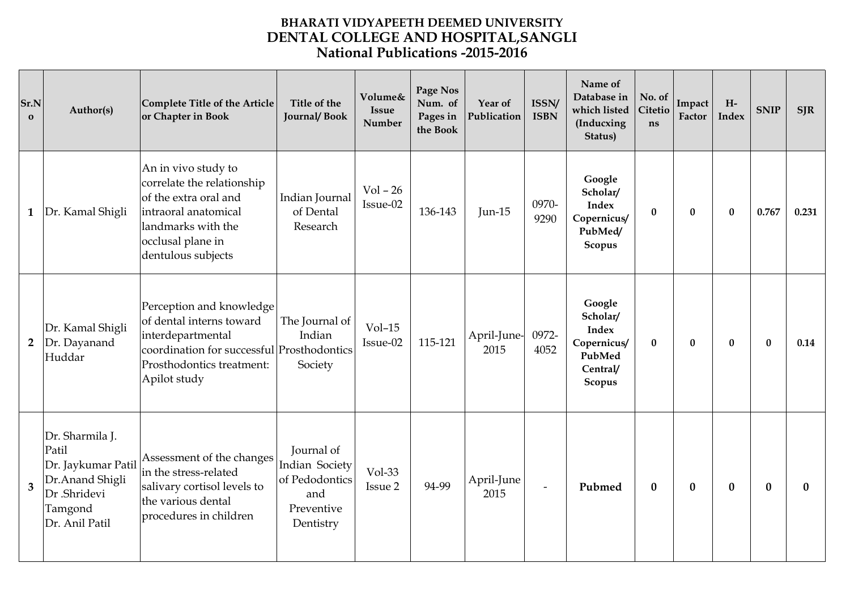## **BHARATI VIDYAPEETH DEEMED UNIVERSITY National Publications -2015-2016 DENTAL COLLEGE AND HOSPITAL,SANGLI**

| Sr.N<br>$\mathbf{o}$ | Author(s)                                                                                                       | Complete Title of the Article<br>or Chapter in Book                                                                                                                  | Title of the<br><b>Journal/Book</b>                                              | Volume&<br><b>Issue</b><br>Number | Page Nos<br>Num. of<br>Pages in<br>the Book | Year of<br>Publication | ISSN/<br><b>ISBN</b> | Name of<br>Database in<br>which listed<br>(Inducxing<br>Status)                   | No. of<br>Citetio<br>ns | Impack<br>Factor | $H-$<br><b>Index</b> | <b>SNIP</b> | <b>SJR</b> |
|----------------------|-----------------------------------------------------------------------------------------------------------------|----------------------------------------------------------------------------------------------------------------------------------------------------------------------|----------------------------------------------------------------------------------|-----------------------------------|---------------------------------------------|------------------------|----------------------|-----------------------------------------------------------------------------------|-------------------------|------------------|----------------------|-------------|------------|
| $\mathbf{1}$         | Dr. Kamal Shigli                                                                                                | An in vivo study to<br>correlate the relationship<br>of the extra oral and<br>intraoral anatomical<br>landmarks with the<br>occlusal plane in<br>dentulous subjects  | Indian Journal<br>of Dental<br>Research                                          | $Vol - 26$<br>Issue-02            | 136-143                                     | <b>Jun-15</b>          | 0970-<br>9290        | Google<br>Scholar/<br><b>Index</b><br>Copernicus/<br>PubMed/<br>Scopus            | $\bf{0}$                | $\bf{0}$         | $\bf{0}$             | 0.767       | 0.231      |
| $\overline{2}$       | Dr. Kamal Shigli<br>Dr. Dayanand<br>Huddar                                                                      | Perception and knowledge<br>of dental interns toward<br>interdepartmental<br>coordination for successful Prosthodontics<br>Prosthodontics treatment:<br>Apilot study | The Journal of<br>Indian<br>Society                                              | $Vol-15$<br>Issue-02              | 115-121                                     | April-June-<br>2015    | 0972-<br>4052        | Google<br>Scholar/<br><b>Index</b><br>Copernicus/<br>PubMed<br>Central/<br>Scopus | $\bf{0}$                | $\bf{0}$         | 0                    | $\bf{0}$    | 0.14       |
| 3                    | Dr. Sharmila J.<br>Patil<br>Dr. Jaykumar Patil<br>Dr. Anand Shigli<br>Dr .Shridevi<br>Tamgond<br>Dr. Anil Patil | Assessment of the changes<br>in the stress-related<br>salivary cortisol levels to<br>the various dental<br>procedures in children                                    | Journal of<br>Indian Society<br>of Pedodontics<br>and<br>Preventive<br>Dentistry | Vol-33<br>Issue 2                 | 94-99                                       | April-June<br>2015     |                      | Pubmed                                                                            | $\bf{0}$                | $\bf{0}$         | $\bf{0}$             | $\bf{0}$    | $\bf{0}$   |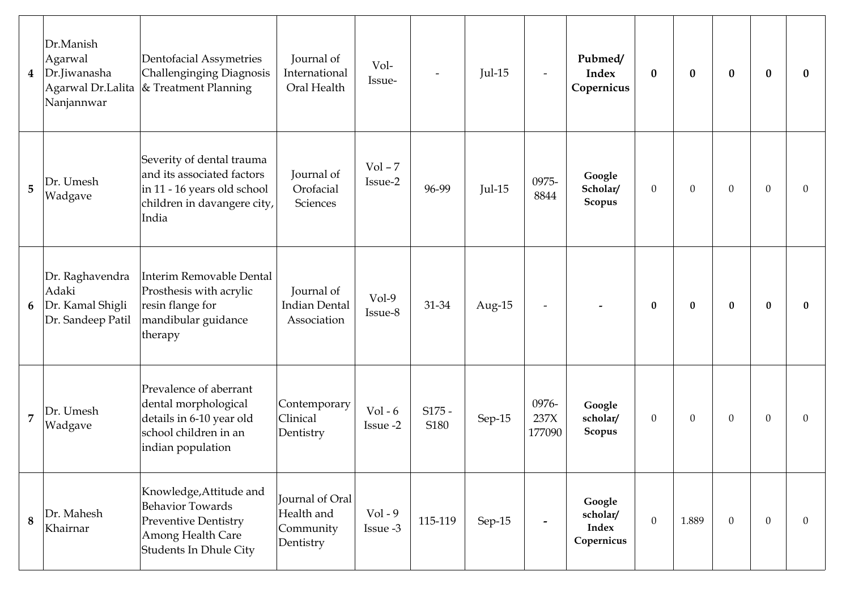| 4              | Dr.Manish<br>Agarwal<br>Dr.Jiwanasha<br>Agarwal Dr.Lalita<br>Nanjannwar | Dentofacial Assymetries<br>Challenginging Diagnosis<br>$\&$ Treatment Planning                                                   | Journal of<br>International<br>Oral Health              | Vol-<br>Issue-        |                  | $Jul-15$ | $\overline{\phantom{a}}$ | Pubmed/<br><b>Index</b><br>Copernicus            | $\bf{0}$         | $\bf{0}$     | $\bf{0}$       | $\bf{0}$       | $\bf{0}$     |
|----------------|-------------------------------------------------------------------------|----------------------------------------------------------------------------------------------------------------------------------|---------------------------------------------------------|-----------------------|------------------|----------|--------------------------|--------------------------------------------------|------------------|--------------|----------------|----------------|--------------|
| 5              | Dr. Umesh<br>Wadgave                                                    | Severity of dental trauma<br>and its associated factors<br>in 11 - 16 years old school<br>children in davangere city,<br>India   | Journal of<br>Orofacial<br>Sciences                     | $Vol - 7$<br>Issue-2  | 96-99            | $Jul-15$ | 0975-<br>8844            | Google<br>Scholar/<br>Scopus                     | $\mathbf{0}$     | $\mathbf{0}$ | $\theta$       | $\overline{0}$ | $\Omega$     |
| 6              | Dr. Raghavendra<br>Adaki<br>Dr. Kamal Shigli<br>Dr. Sandeep Patil       | Interim Removable Dental<br>Prosthesis with acrylic<br>resin flange for<br>mandibular guidance<br>therapy                        | Journal of<br><b>Indian Dental</b><br>Association       | $Vol-9$<br>Issue-8    | 31-34            | Aug-15   | $\overline{\phantom{a}}$ |                                                  | $\bf{0}$         | $\bf{0}$     | $\bf{0}$       | $\bf{0}$       | $\bf{0}$     |
| $\overline{7}$ | Dr. Umesh<br>Wadgave                                                    | Prevalence of aberrant<br>dental morphological<br>details in 6-10 year old<br>school children in an<br>indian population         | Contemporary<br>Clinical<br>Dentistry                   | $Vol - 6$<br>Issue -2 | $S175 -$<br>S180 | Sep-15   | 0976-<br>237X<br>177090  | Google<br>scholar/<br>Scopus                     | $\mathbf{0}$     | $\mathbf{0}$ | $\theta$       | $\theta$       | $\theta$     |
| 8              | Dr. Mahesh<br>Khairnar                                                  | Knowledge, Attitude and<br><b>Behavior Towards</b><br><b>Preventive Dentistry</b><br>Among Health Care<br>Students In Dhule City | Journal of Oral<br>Health and<br>Community<br>Dentistry | $Vol - 9$<br>Issue -3 | 115-119          | Sep-15   | $\overline{\phantom{a}}$ | Google<br>scholar/<br><b>Index</b><br>Copernicus | $\boldsymbol{0}$ | 1.889        | $\overline{0}$ | $\overline{0}$ | $\mathbf{0}$ |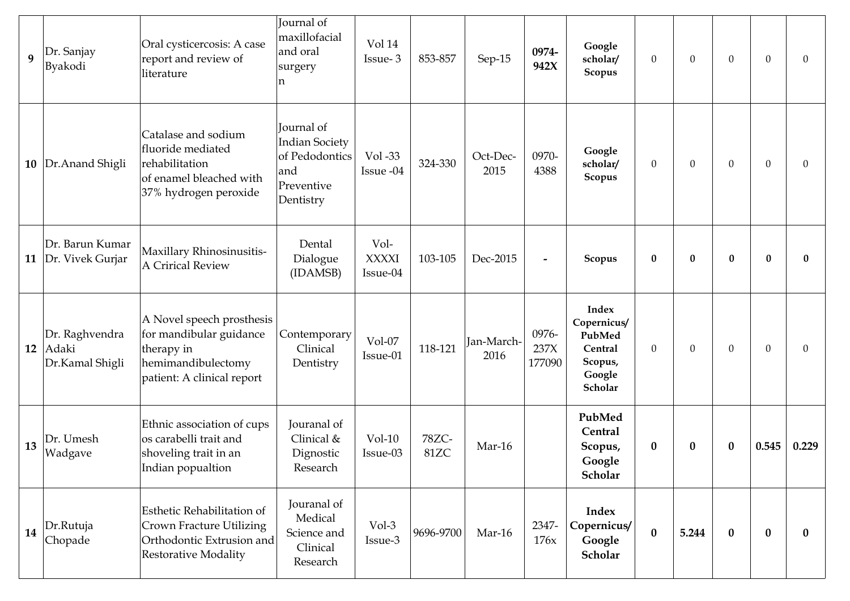| 9  | Dr. Sanjay<br>Byakodi                      | Oral cysticercosis: A case<br>report and review of<br>literature                                                       | Journal of<br>maxillofacial<br>and oral<br>surgery<br>n                                 | Vol 14<br>Issue-3                | 853-857       | Sep-15             | 0974-<br>942X            | Google<br>scholar/<br><b>Scopus</b>                                              | $\mathbf{0}$ | $\boldsymbol{0}$ | $\theta$ | $\mathbf{0}$ | $\mathbf{0}$ |
|----|--------------------------------------------|------------------------------------------------------------------------------------------------------------------------|-----------------------------------------------------------------------------------------|----------------------------------|---------------|--------------------|--------------------------|----------------------------------------------------------------------------------|--------------|------------------|----------|--------------|--------------|
| 10 | Dr. Anand Shigli                           | Catalase and sodium<br>fluoride mediated<br>rehabilitation<br>of enamel bleached with<br>37% hydrogen peroxide         | Journal of<br><b>Indian Society</b><br>of Pedodontics<br>and<br>Preventive<br>Dentistry | Vol -33<br>Issue -04             | 324-330       | Oct-Dec-<br>2015   | 0970-<br>4388            | Google<br>scholar/<br><b>Scopus</b>                                              | $\mathbf{0}$ | $\boldsymbol{0}$ | $\theta$ | $\mathbf{0}$ | $\theta$     |
| 11 | Dr. Barun Kumar<br>Dr. Vivek Gurjar        | Maxillary Rhinosinusitis-<br><b>A Crirical Review</b>                                                                  | Dental<br>Dialogue<br>(IDAMSB)                                                          | Vol-<br><b>XXXXI</b><br>Issue-04 | 103-105       | Dec-2015           | $\overline{\phantom{0}}$ | Scopus                                                                           | $\bf{0}$     | $\bf{0}$         | $\bf{0}$ | $\bf{0}$     | $\mathbf{0}$ |
| 12 | Dr. Raghvendra<br>Adaki<br>Dr.Kamal Shigli | A Novel speech prosthesis<br>for mandibular guidance<br>therapy in<br>hemimandibulectomy<br>patient: A clinical report | Contemporary<br>Clinical<br>Dentistry                                                   | Vol-07<br>Issue-01               | 118-121       | Jan-March-<br>2016 | 0976-<br>237X<br>177090  | <b>Index</b><br>Copernicus/<br>PubMed<br>Central<br>Scopus,<br>Google<br>Scholar | $\theta$     | $\boldsymbol{0}$ | $\theta$ | $\mathbf{0}$ | $\mathbf{0}$ |
| 13 | Dr. Umesh<br>Wadgave                       | Ethnic association of cups<br>os carabelli trait and<br>shoveling trait in an<br>Indian popualtion                     | Jouranal of<br>Clinical &<br>Dignostic<br>Research                                      | $Vol-10$<br>Issue-03             | 78ZC-<br>81ZC | Mar-16             |                          | PubMed<br>Central<br>Scopus,<br>Google<br>Scholar                                | $\bf{0}$     | $\bf{0}$         | $\bf{0}$ | 0.545        | 0.229        |
| 14 | Dr.Rutuja<br>Chopade                       | Esthetic Rehabilitation of<br>Crown Fracture Utilizing<br>Orthodontic Extrusion and<br><b>Restorative Modality</b>     | Jouranal of<br>Medical<br>Science and<br>Clinical<br>Research                           | Vol-3<br>Issue-3                 | 9696-9700     | Mar-16             | 2347-<br>176x            | Index<br>Copernicus/<br>Google<br>Scholar                                        | $\bf{0}$     | 5.244            | $\bf{0}$ | $\bf{0}$     | $\bf{0}$     |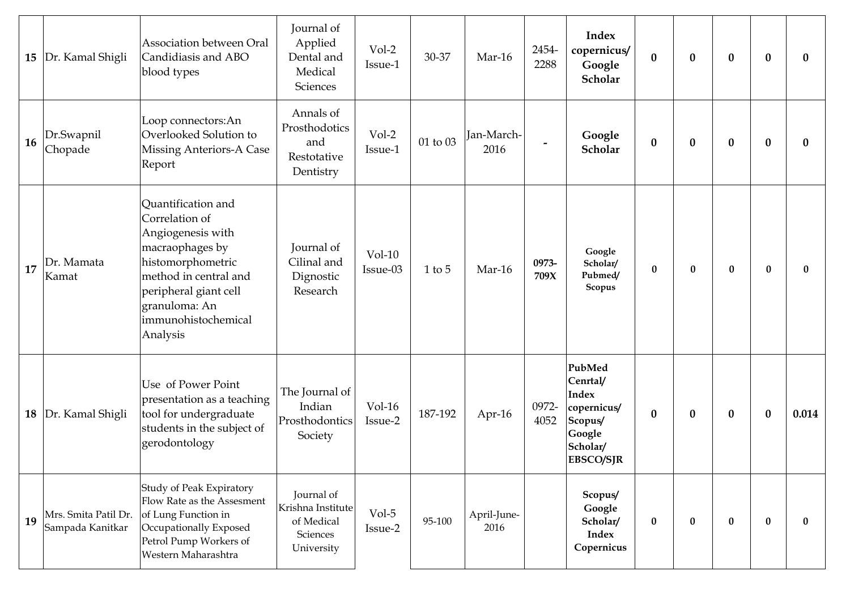| 15        | Dr. Kamal Shigli                         | Association between Oral<br>Candidiasis and ABO<br>blood types                                                                                                                                          | Journal of<br>Applied<br>Dental and<br>Medical<br>Sciences              | Vol-2<br>Issue-1     | 30-37    | Mar-16              | 2454-<br>2288 | <b>Index</b><br>copernicus/<br>Google<br>Scholar                                                       | $\bf{0}$         | $\bf{0}$ | $\bf{0}$ | $\boldsymbol{0}$ | $\bf{0}$ |
|-----------|------------------------------------------|---------------------------------------------------------------------------------------------------------------------------------------------------------------------------------------------------------|-------------------------------------------------------------------------|----------------------|----------|---------------------|---------------|--------------------------------------------------------------------------------------------------------|------------------|----------|----------|------------------|----------|
| <b>16</b> | Dr.Swapnil<br>Chopade                    | Loop connectors: An<br>Overlooked Solution to<br><b>Missing Anteriors-A Case</b><br>Report                                                                                                              | Annals of<br>Prosthodotics<br>and<br>Restotative<br>Dentistry           | Vol-2<br>Issue-1     | 01 to 03 | Jan-March-<br>2016  |               | Google<br>Scholar                                                                                      | $\bf{0}$         | $\bf{0}$ | $\bf{0}$ | $\boldsymbol{0}$ | $\bf{0}$ |
| 17        | Dr. Mamata<br>Kamat                      | Quantification and<br>Correlation of<br>Angiogenesis with<br>macraophages by<br>histomorphometric<br>method in central and<br>peripheral giant cell<br>granuloma: An<br>immunohistochemical<br>Analysis | Journal of<br>Cilinal and<br>Dignostic<br>Research                      | $Vol-10$<br>Issue-03 | $1$ to 5 | Mar-16              | 0973-<br>709X | Google<br>Scholar/<br>Pubmed/<br>Scopus                                                                | $\bf{0}$         | $\bf{0}$ | $\bf{0}$ | $\bf{0}$         | $\bf{0}$ |
| 18        | Dr. Kamal Shigli                         | Use of Power Point<br>presentation as a teaching<br>tool for undergraduate<br>students in the subject of<br>gerodontology                                                                               | The Journal of<br>Indian<br>Prosthodontics<br>Society                   | $Vol-16$<br>Issue-2  | 187-192  | Apr-16              | 0972-<br>4052 | PubMed<br>Cenrtal/<br><b>Index</b><br>copernicus/<br>Scopus/<br>Google<br>Scholar/<br><b>EBSCO/SJR</b> | $\boldsymbol{0}$ | $\bf{0}$ | $\bf{0}$ | $\bf{0}$         | 0.014    |
| 19        | Mrs. Smita Patil Dr.<br>Sampada Kanitkar | Study of Peak Expiratory<br>Flow Rate as the Assesment<br>of Lung Function in<br>Occupationally Exposed<br>Petrol Pump Workers of<br>Western Maharashtra                                                | Journal of<br>Krishna Institute<br>of Medical<br>Sciences<br>University | $Vol-5$<br>Issue-2   | 95-100   | April-June-<br>2016 |               | Scopus/<br>Google<br>Scholar/<br><b>Index</b><br>Copernicus                                            | $\bf{0}$         | $\bf{0}$ | $\bf{0}$ | $\bf{0}$         | $\bf{0}$ |